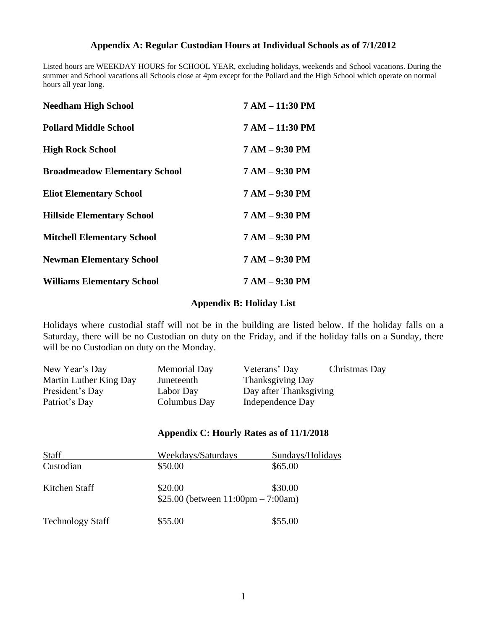### **Appendix A: Regular Custodian Hours at Individual Schools as of 7/1/2012**

Listed hours are WEEKDAY HOURS for SCHOOL YEAR, excluding holidays, weekends and School vacations. During the summer and School vacations all Schools close at 4pm except for the Pollard and the High School which operate on normal hours all year long.

| <b>Needham High School</b>           | 7 AM - 11:30 PM  |
|--------------------------------------|------------------|
| <b>Pollard Middle School</b>         | 7 AM - 11:30 PM  |
| <b>High Rock School</b>              | $7 AM - 9:30 PM$ |
| <b>Broadmeadow Elementary School</b> | $7 AM - 9:30 PM$ |
| <b>Eliot Elementary School</b>       | $7 AM - 9:30 PM$ |
| <b>Hillside Elementary School</b>    | $7 AM - 9:30 PM$ |
| <b>Mitchell Elementary School</b>    | 7 AM - 9:30 PM   |
| <b>Newman Elementary School</b>      | $7 AM - 9:30 PM$ |
| <b>Williams Elementary School</b>    | $7 AM - 9:30 PM$ |

### **Appendix B: Holiday List**

Holidays where custodial staff will not be in the building are listed below. If the holiday falls on a Saturday, there will be no Custodian on duty on the Friday, and if the holiday falls on a Sunday, there will be no Custodian on duty on the Monday.

| New Year's Day         | <b>Memorial Day</b> | Veterans' Day           | Christmas Day |
|------------------------|---------------------|-------------------------|---------------|
| Martin Luther King Day | Juneteenth          | <b>Thanksgiving Day</b> |               |
| President's Day        | Labor Day           | Day after Thanksgiving  |               |
| Patriot's Day          | Columbus Day        | Independence Day        |               |

#### **Appendix C: Hourly Rates as of 11/1/2018**

| <b>Staff</b>            | Weekdays/Saturdays                                    | Sundays/Holidays |  |
|-------------------------|-------------------------------------------------------|------------------|--|
| Custodian               | \$50.00                                               | \$65.00          |  |
| Kitchen Staff           | \$20.00                                               | \$30.00          |  |
|                         | \$25.00 (between $11:00 \text{pm} - 7:00 \text{am}$ ) |                  |  |
| <b>Technology Staff</b> | \$55.00                                               | \$55.00          |  |